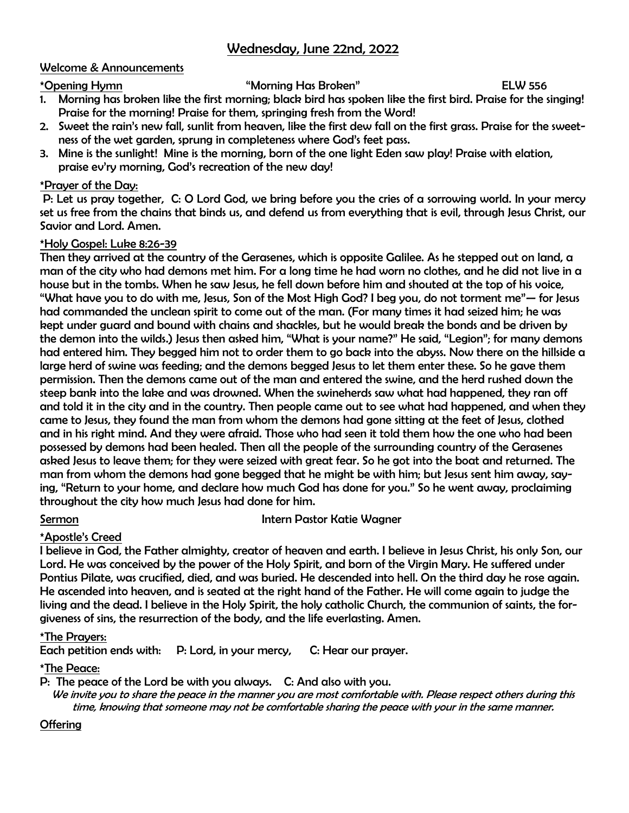# Welcome & Announcements

\*Opening Hymn "Morning Has Broken" ELW 556

- 1. Morning has broken like the first morning; black bird has spoken like the first bird. Praise for the singing! Praise for the morning! Praise for them, springing fresh from the Word!
- 2. Sweet the rain's new fall, sunlit from heaven, like the first dew fall on the first grass. Praise for the sweetness of the wet garden, sprung in completeness where God's feet pass.
- 3. Mine is the sunlight! Mine is the morning, born of the one light Eden saw play! Praise with elation, praise ev'ry morning, God's recreation of the new day!

#### \*Prayer of the Day:

P: Let us pray together, C: O Lord God, we bring before you the cries of a sorrowing world. In your mercy set us free from the chains that binds us, and defend us from everything that is evil, through Jesus Christ, our Savior and Lord. Amen.

#### \*Holy Gospel: Luke 8:26-39

Then they arrived at the country of the Gerasenes, which is opposite Galilee. As he stepped out on land, a man of the city who had demons met him. For a long time he had worn no clothes, and he did not live in a house but in the tombs. When he saw Jesus, he fell down before him and shouted at the top of his voice, "What have you to do with me, Jesus, Son of the Most High God? I beg you, do not torment me"— for Jesus had commanded the unclean spirit to come out of the man. (For many times it had seized him; he was kept under guard and bound with chains and shackles, but he would break the bonds and be driven by the demon into the wilds.) Jesus then asked him, "What is your name?" He said, "Legion"; for many demons had entered him. They begged him not to order them to go back into the abyss. Now there on the hillside a large herd of swine was feeding; and the demons begged Jesus to let them enter these. So he gave them permission. Then the demons came out of the man and entered the swine, and the herd rushed down the steep bank into the lake and was drowned. When the swineherds saw what had happened, they ran off and told it in the city and in the country. Then people came out to see what had happened, and when they came to Jesus, they found the man from whom the demons had gone sitting at the feet of Jesus, clothed and in his right mind. And they were afraid. Those who had seen it told them how the one who had been possessed by demons had been healed. Then all the people of the surrounding country of the Gerasenes asked Jesus to leave them; for they were seized with great fear. So he got into the boat and returned. The man from whom the demons had gone begged that he might be with him; but Jesus sent him away, saying, "Return to your home, and declare how much God has done for you." So he went away, proclaiming throughout the city how much Jesus had done for him.

<u>Sermon Intern Pastor Katie Wagner</u>

# \*Apostle's Creed

I believe in God, the Father almighty, creator of heaven and earth. I believe in Jesus Christ, his only Son, our Lord. He was conceived by the power of the Holy Spirit, and born of the Virgin Mary. He suffered under Pontius Pilate, was crucified, died, and was buried. He descended into hell. On the third day he rose again. He ascended into heaven, and is seated at the right hand of the Father. He will come again to judge the living and the dead. I believe in the Holy Spirit, the holy catholic Church, the communion of saints, the forgiveness of sins, the resurrection of the body, and the life everlasting. Amen.

# \*The Prayers:

Each petition ends with: P: Lord, in your mercy, C: Hear our prayer.

# \*The Peace:

P: The peace of the Lord be with you always. C: And also with you.

We invite you to share the peace in the manner you are most comfortable with. Please respect others during this time, knowing that someone may not be comfortable sharing the peace with your in the same manner.

# **Offering**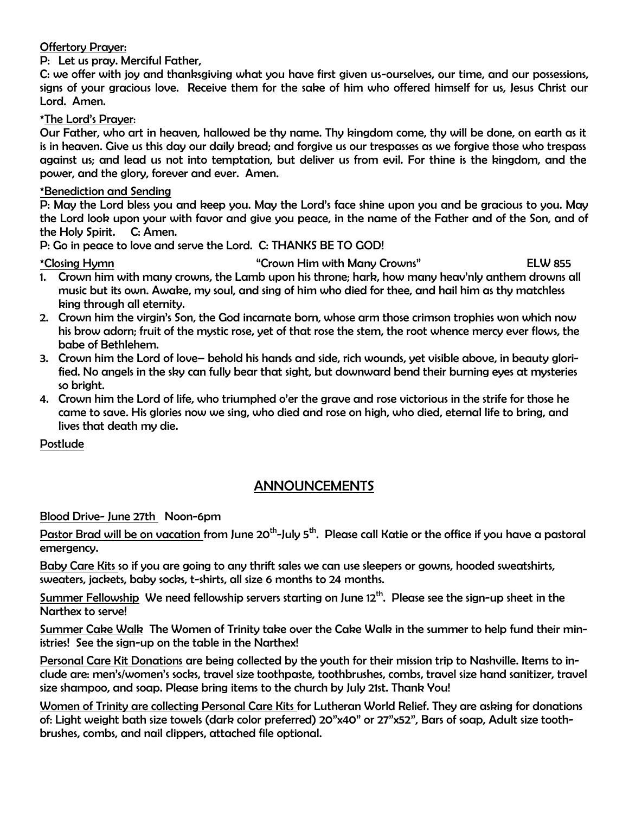# Offertory Prayer:

P: Let us pray. Merciful Father,

C: we offer with joy and thanksgiving what you have first given us-ourselves, our time, and our possessions, signs of your gracious love. Receive them for the sake of him who offered himself for us, Jesus Christ our Lord. Amen.

#### \*The Lord's Prayer:

Our Father, who art in heaven, hallowed be thy name. Thy kingdom come, thy will be done, on earth as it is in heaven. Give us this day our daily bread; and forgive us our trespasses as we forgive those who trespass against us; and lead us not into temptation, but deliver us from evil. For thine is the kingdom, and the power, and the glory, forever and ever. Amen.

#### \*Benediction and Sending

P: May the Lord bless you and keep you. May the Lord's face shine upon you and be gracious to you. May the Lord look upon your with favor and give you peace, in the name of the Father and of the Son, and of the Holy Spirit. C: Amen.

P: Go in peace to love and serve the Lord. C: THANKS BE TO GOD!

\*Closing Hymn "Crown Him with Many Crowns" ELW 855

- 1. Crown him with many crowns, the Lamb upon his throne; hark, how many heav'nly anthem drowns all music but its own. Awake, my soul, and sing of him who died for thee, and hail him as thy matchless king through all eternity.
- 2. Crown him the virgin's Son, the God incarnate born, whose arm those crimson trophies won which now his brow adorn; fruit of the mystic rose, yet of that rose the stem, the root whence mercy ever flows, the babe of Bethlehem.
- 3. Crown him the Lord of love– behold his hands and side, rich wounds, yet visible above, in beauty glorified. No angels in the sky can fully bear that sight, but downward bend their burning eyes at mysteries so bright.
- 4. Crown him the Lord of life, who triumphed o'er the grave and rose victorious in the strife for those he came to save. His glories now we sing, who died and rose on high, who died, eternal life to bring, and lives that death my die.

Postlude

# ANNOUNCEMENTS

#### Blood Drive- June 27th Noon-6pm

Pastor Brad will be on vacation from June 20<sup>th</sup>-July 5<sup>th</sup>. Please call Katie or the office if you have a pastoral emergency.

Baby Care Kits so if you are going to any thrift sales we can use sleepers or gowns, hooded sweatshirts, sweaters, jackets, baby socks, t-shirts, all size 6 months to 24 months.

Summer Fellowship We need fellowship servers starting on June 12<sup>th</sup>. Please see the sign-up sheet in the Narthex to serve!

Summer Cake Walk The Women of Trinity take over the Cake Walk in the summer to help fund their ministries! See the sign-up on the table in the Narthex!

Personal Care Kit Donations are being collected by the youth for their mission trip to Nashville. Items to include are: men's/women's socks, travel size toothpaste, toothbrushes, combs, travel size hand sanitizer, travel size shampoo, and soap. Please bring items to the church by July 21st. Thank You!

Women of Trinity are collecting Personal Care Kits for Lutheran World Relief. They are asking for donations of: Light weight bath size towels (dark color preferred) 20"x40" or 27"x52", Bars of soap, Adult size toothbrushes, combs, and nail clippers, attached file optional.